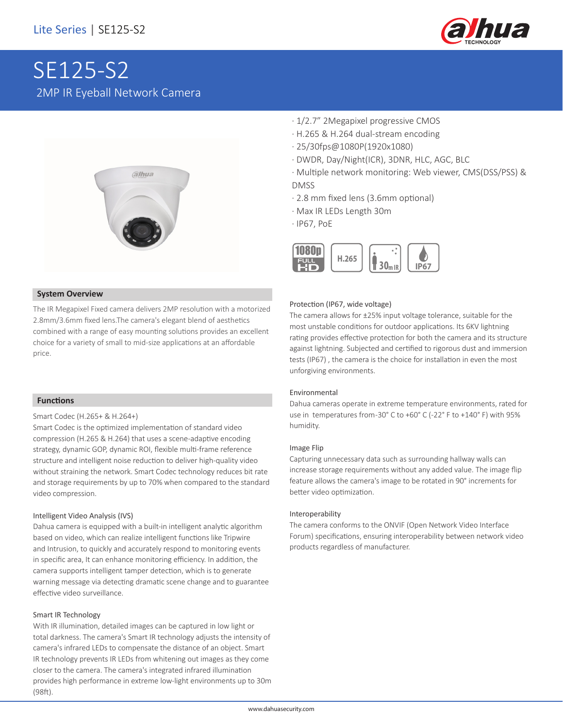

# SE125-S2 2MP IR Eyeball Network Camera



#### **System Overview**

The IR Megapixel Fixed camera delivers 2MP resolution with a motorized 2.8mm/3.6mm fixed lens.The camera's elegant blend of aesthetics combined with a range of easy mounting solutions provides an excellent choice for a variety of small to mid-size applications at an affordable price.

#### **Functions**

#### Smart Codec (H.265+ & H.264+)

Smart Codec is the optimized implementation of standard video compression (H.265 & H.264) that uses a scene-adaptive encoding strategy, dynamic GOP, dynamic ROI, flexible multi-frame reference structure and intelligent noise reduction to deliver high-quality video without straining the network. Smart Codec technology reduces bit rate and storage requirements by up to 70% when compared to the standard video compression.

#### Intelligent Video Analysis (IVS)

Dahua camera is equipped with a built-in intelligent analytic algorithm based on video, which can realize intelligent functions like Tripwire and Intrusion, to quickly and accurately respond to monitoring events in specific area, It can enhance monitoring efficiency. In addition, the camera supports intelligent tamper detection, which is to generate warning message via detecting dramatic scene change and to guarantee effective video surveillance.

#### Smart IR Technology

With IR illumination, detailed images can be captured in low light or total darkness. The camera's Smart IR technology adjusts the intensity of camera's infrared LEDs to compensate the distance of an object. Smart IR technology prevents IR LEDs from whitening out images as they come closer to the camera. The camera's integrated infrared illumination provides high performance in extreme low-light environments up to 30m (98ft).

- · 1/2.7" 2Megapixel progressive CMOS
- · H.265 & H.264 dual-stream encoding
- · 25/30fps@1080P(1920x1080)
- · DWDR, Day/Night(ICR), 3DNR, HLC, AGC, BLC
- · Multiple network monitoring: Web viewer, CMS(DSS/PSS) & DMSS
- · 2.8 mm fixed lens (3.6mm optional)
- · Max IR LEDs Length 30m
- · IP67, PoE



#### Protection (IP67, wide voltage)

The camera allows for ±25% input voltage tolerance, suitable for the most unstable conditions for outdoor applications. Its 6KV lightning rating provides effective protection for both the camera and its structure against lightning. Subjected and certified to rigorous dust and immersion tests (IP67) , the camera is the choice for installation in even the most unforgiving environments.

#### Environmental

Dahua cameras operate in extreme temperature environments, rated for use in temperatures from -30° C to +60° C (-22° F to +140° F) with 95% humidity.

#### Image Flip

Capturing unnecessary data such as surrounding hallway walls can increase storage requirements without any added value. The image flip feature allows the camera's image to be rotated in 90° increments for better video optimization.

#### Interoperability

The camera conforms to the ONVIF (Open Network Video Interface Forum) specifications, ensuring interoperability between network video products regardless of manufacturer.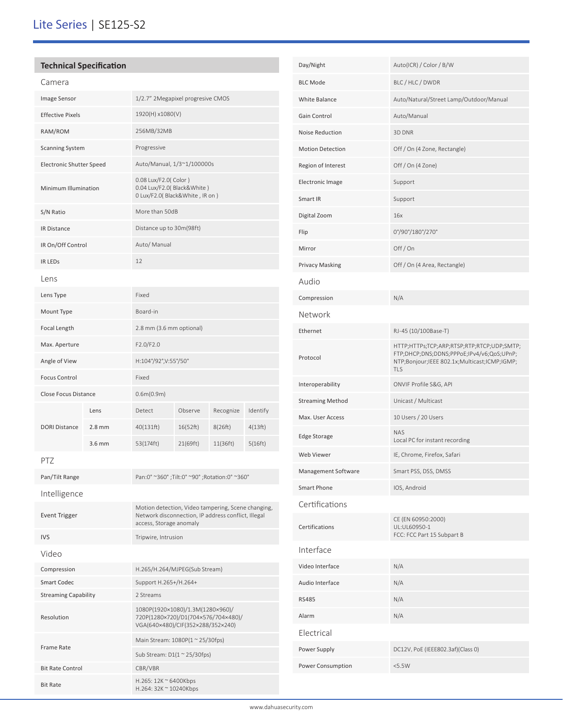# Lite Series | SE125-S2

## **Technical Specification** Camera Image Sensor 1/2.7" 2Megapixel progresive CMOS Effective Pixels 1920(H) x1080(V) RAM/ROM 256MB/32MB Scanning System Progressive Electronic Shutter Speed Auto/Manual, 1/3~1/100000s Minimum Illumination 0.08 Lux/F2.0( Color ) 0.04 Lux/F2.0( Black&White ) 0 Lux/F2.0( Black&White , IR on ) S/N Ratio More than 50dB IR Distance Distance up to 30m(98ft) IR On/Off Control Auto/ Manual IR LEDs 12 Lens Lens Type Fixed Mount Type Board-in Focal Length 2.8 mm (3.6 mm optional) Max. Aperture F2.0/F2.0 Angle of View H:104°/92°, V:55°/50° Focus Control Fixed Close Focus Distance 0.6m(0.9m) DORI Distance Lens Detect Observe Recognize Identify 2.8 mm 40(131ft) 16(52ft) 8(26ft) 4(13ft) 3.6 mm 53(174ft) 21(69ft) 11(36ft) 5(16ft) PTZ Pan/Tilt Range Pan:0° ~360° ;Tilt:0° ~90° ;Rotation:0° ~360° Intelligence Event Trigger Motion detection, Video tampering, Scene changing, Network disconnection, IP address conflict, Illegal access, Storage anomaly IVS Tripwire, Intrusion Video Compression H.265/H.264/MJPEG(Sub Stream) Smart Codec Support H.265+/H.264+ Streaming Capability 2 Streams Resolution 1080P(1920×1080)/1.3M(1280×960)/ 720P(1280×720)/D1(704×576/704×480)/ VGA(640×480)/CIF(352×288/352×240) Frame Rate Main Stream: 1080P(1 ~ 25/30fps) Sub Stream: D1(1 ~ 25/30fps) Bit Rate Control CBR/VBR

Bit Rate H.265: 12K ~ 6400Kbps H.264: 32K ~ 10240Kbps

| Day/Night               | Auto(ICR) / Color / B/W                                                                                                                        |
|-------------------------|------------------------------------------------------------------------------------------------------------------------------------------------|
| <b>BLC Mode</b>         | BLC / HLC / DWDR                                                                                                                               |
| White Balance           | Auto/Natural/Street Lamp/Outdoor/Manual                                                                                                        |
| Gain Control            | Auto/Manual                                                                                                                                    |
| Noise Reduction         | 3D DNR                                                                                                                                         |
| <b>Motion Detection</b> | Off / On (4 Zone, Rectangle)                                                                                                                   |
| Region of Interest      | Off / On (4 Zone)                                                                                                                              |
| <b>Electronic Image</b> | Support                                                                                                                                        |
| Smart IR                | Support                                                                                                                                        |
| Digital Zoom            | 16x                                                                                                                                            |
| Flip                    | 0°/90°/180°/270°                                                                                                                               |
| Mirror                  | Off/On                                                                                                                                         |
| <b>Privacy Masking</b>  | Off / On (4 Area, Rectangle)                                                                                                                   |
| Audio                   |                                                                                                                                                |
| Compression             | N/A                                                                                                                                            |
| Network                 |                                                                                                                                                |
| Ethernet                | RJ-45 (10/100Base-T)                                                                                                                           |
| Protocol                | HTTP;HTTPs;TCP;ARP;RTSP;RTP;RTCP;UDP;SMTP;<br>FTP;DHCP;DNS;DDNS;PPPoE;IPv4/v6;QoS;UPnP;<br>NTP;Bonjour;IEEE 802.1x;Multicast;ICMP;IGMP;<br>TLS |
| Interoperability        | ONVIF Profile S&G, API                                                                                                                         |
| <b>Streaming Method</b> | Unicast / Multicast                                                                                                                            |
| Max. User Access        | 10 Users / 20 Users                                                                                                                            |
| Edge Storage            | <b>NAS</b><br>Local PC for instant recording                                                                                                   |
| Web Viewer              | IE, Chrome, Firefox, Safari                                                                                                                    |
| Management Software     | Smart PSS, DSS, DMSS                                                                                                                           |
| Smart Phone             | IOS, Android                                                                                                                                   |
| Certifications          |                                                                                                                                                |
| Certifications          | CE (EN 60950:2000)<br>UL:UL60950-1<br>FCC: FCC Part 15 Subpart B                                                                               |
| Interface               |                                                                                                                                                |
| Video Interface         | N/A                                                                                                                                            |
| Audio Interface         | N/A                                                                                                                                            |
| <b>RS485</b>            | N/A                                                                                                                                            |
| Alarm                   | N/A                                                                                                                                            |
| Electrical              |                                                                                                                                                |
| Power Supply            | DC12V, PoE (IEEE802.3af)(Class 0)                                                                                                              |
| Power Consumption       | <5.5W                                                                                                                                          |
|                         |                                                                                                                                                |